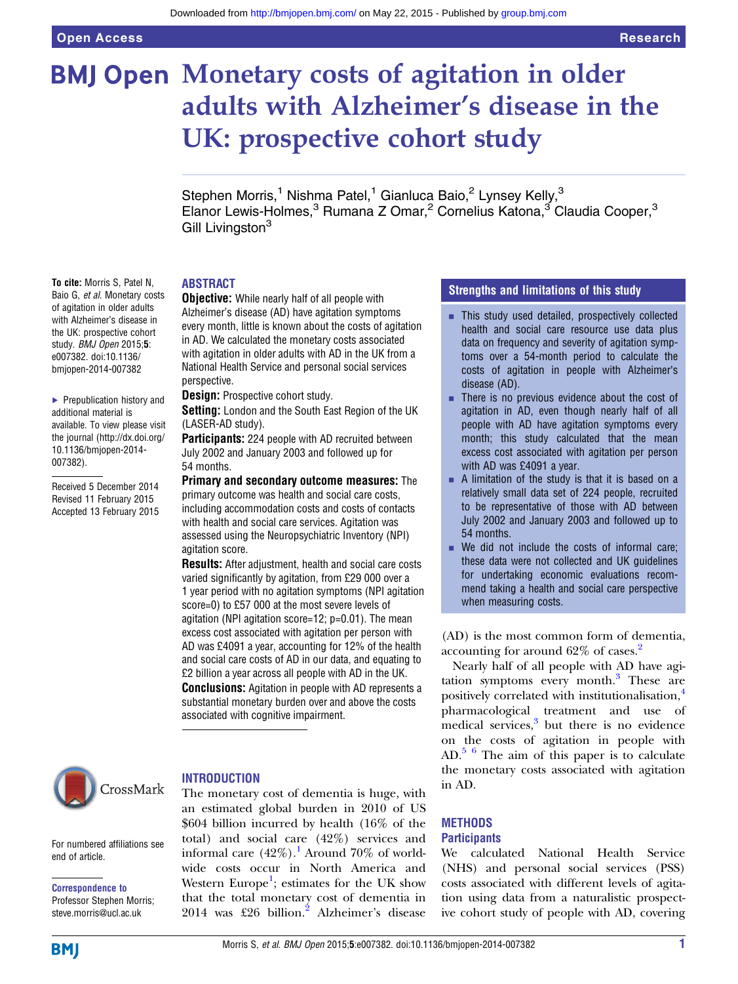# **BMJ Open Monetary costs of agitation in older** adults with Alzheimer's disease in the UK: prospective cohort study

Stephen Morris,<sup>1</sup> Nishma Patel,<sup>1</sup> Gianluca Baio,<sup>2</sup> Lynsey Kelly,<sup>3</sup> Elanor Lewis-Holmes,<sup>3</sup> Rumana Z Omar,<sup>2</sup> Cornelius Katona,<sup>3</sup> Claudia Cooper,<sup>3</sup> Gill Livingston<sup>3</sup>

#### ABSTRACT

To cite: Morris S, Patel N, Baio G, et al. Monetary costs of agitation in older adults with Alzheimer's disease in the UK: prospective cohort study. BMJ Open 2015:5: e007382. doi:10.1136/ bmjopen-2014-007382

▶ Prepublication history and additional material is available. To view please visit the journal [\(http://dx.doi.org/](http://dx.doi.org/10.1136/bmjopen-2014-007382) [10.1136/bmjopen-2014-](http://dx.doi.org/10.1136/bmjopen-2014-007382) [007382\)](http://dx.doi.org/10.1136/bmjopen-2014-007382).

Received 5 December 2014 Revised 11 February 2015 Accepted 13 February 2015



**Objective:** While nearly half of all people with Alzheimer's disease (AD) have agitation symptoms every month, little is known about the costs of agitation in AD. We calculated the monetary costs associated with agitation in older adults with AD in the UK from a National Health Service and personal social services perspective.

**Design:** Prospective cohort study.

Setting: London and the South East Region of the UK (LASER-AD study).

**Participants:** 224 people with AD recruited between July 2002 and January 2003 and followed up for 54 months.

Primary and secondary outcome measures: The primary outcome was health and social care costs, including accommodation costs and costs of contacts with health and social care services. Agitation was assessed using the Neuropsychiatric Inventory (NPI) agitation score.

Results: After adjustment, health and social care costs varied significantly by agitation, from £29 000 over a 1 year period with no agitation symptoms (NPI agitation score=0) to £57 000 at the most severe levels of agitation (NPI agitation score=12; p=0.01). The mean excess cost associated with agitation per person with AD was £4091 a year, accounting for 12% of the health and social care costs of AD in our data, and equating to £2 billion a year across all people with AD in the UK. **Conclusions:** Agitation in people with AD represents a substantial monetary burden over and above the costs associated with cognitive impairment.



#### **INTRODUCTION**

The monetary cost of dementia is huge, with an estimated global burden in 2010 of US \$604 billion incurred by health (16% of the total) and social care (42%) services and informal care  $(42\%)$ .<sup>[1](#page-5-0)</sup> Around 70% of worldwide costs occur in North America and Western Europe<sup>[1](#page-5-0)</sup>; estimates for the UK show that the total monetary cost of dementia in [2](#page-5-0)014 was £26 billion.<sup>2</sup> Alzheimer's disease

### Strengths and limitations of this study

- **EXECUTE:** This study used detailed, prospectively collected health and social care resource use data plus data on frequency and severity of agitation symptoms over a 54-month period to calculate the costs of agitation in people with Alzheimer's disease (AD).
- $\blacksquare$  There is no previous evidence about the cost of agitation in AD, even though nearly half of all people with AD have agitation symptoms every month; this study calculated that the mean excess cost associated with agitation per person with AD was £4091 a year.
- $\blacksquare$  A limitation of the study is that it is based on a relatively small data set of 224 people, recruited to be representative of those with AD between July 2002 and January 2003 and followed up to 54 months.
- $\blacksquare$  We did not include the costs of informal care; these data were not collected and UK guidelines for undertaking economic evaluations recommend taking a health and social care perspective when measuring costs.

(AD) is the most common form of dementia, accounting for around 62% of cases.[2](#page-5-0)

Nearly half of all people with AD have agi-tation symptoms every month.<sup>[3](#page-5-0)</sup> These are positively correlated with institutionalisation,<sup>[4](#page-5-0)</sup> pharmacological treatment and use of medical services,<sup>[3](#page-5-0)</sup> but there is no evidence on the costs of agitation in people with  $AD<sup>56</sup>$  The aim of this paper is to calculate the monetary costs associated with agitation in AD.

#### **METHODS Participants**

We calculated National Health Service (NHS) and personal social services (PSS) costs associated with different levels of agitation using data from a naturalistic prospective cohort study of people with AD, covering

For numbered affiliations see end of article.

Correspondence to Professor Stephen Morris; steve.morris@ucl.ac.uk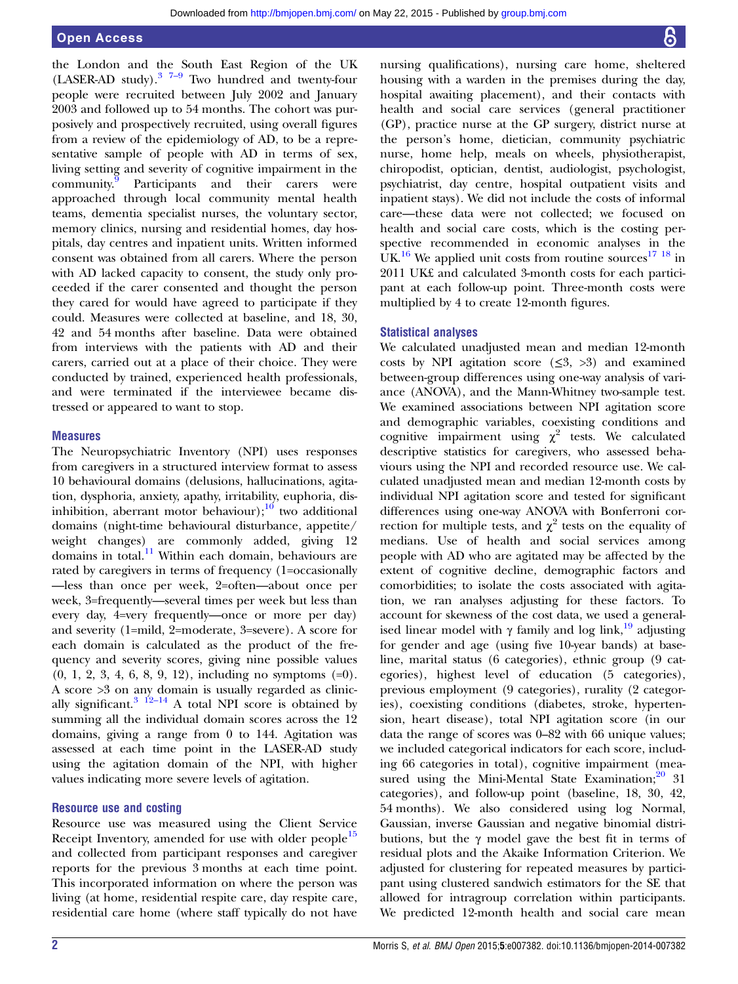the London and th[e S](#page-5-0)outh East Region of the UK (LASER-AD study). $3\frac{7-9}{7}$  $3\frac{7-9}{7}$  Two hundred and twenty-four people were recruited between July 2002 and January 2003 and followed up to 54 months. The cohort was purposively and prospectively recruited, using overall figures from a review of the epidemiology of AD, to be a representative sample of people with AD in terms of sex, living setting and severity of cognitive impairment in the community[.9](#page-5-0) Participants and their carers were approached through local community mental health teams, dementia specialist nurses, the voluntary sector, memory clinics, nursing and residential homes, day hospitals, day centres and inpatient units. Written informed consent was obtained from all carers. Where the person with AD lacked capacity to consent, the study only proceeded if the carer consented and thought the person they cared for would have agreed to participate if they could. Measures were collected at baseline, and 18, 30, 42 and 54 months after baseline. Data were obtained from interviews with the patients with AD and their carers, carried out at a place of their choice. They were conducted by trained, experienced health professionals, and were terminated if the interviewee became distressed or appeared to want to stop.

#### **Measures**

The Neuropsychiatric Inventory (NPI) uses responses from caregivers in a structured interview format to assess 10 behavioural domains (delusions, hallucinations, agitation, dysphoria, anxiety, apathy, irritability, euphoria, disinhibition, aberrant motor behaviour); $^{10}$  $^{10}$  $^{10}$  two additional domains (night-time behavioural disturbance, appetite/ weight changes) are commonly added, giving 12 domains in total. $11$  Within each domain, behaviours are rated by caregivers in terms of frequency (1=occasionally —less than once per week, 2=often—about once per week, 3=frequently—several times per week but less than every day, 4=very frequently—once or more per day) and severity (1=mild, 2=moderate, 3=severe). A score for each domain is calculated as the product of the frequency and severity scores, giving nine possible values (0, 1, 2, 3, 4, 6, 8, 9, 12), including no symptoms (=0). A score >3 on any domain is usually regarded as clinic-ally significant.<sup>[3 12](#page-5-0)–14</sup> A total NPI score is obtained by summing all the individual domain scores across the 12 domains, giving a range from 0 to 144. Agitation was assessed at each time point in the LASER-AD study using the agitation domain of the NPI, with higher values indicating more severe levels of agitation.

#### Resource use and costing

Resource use was measured using the Client Service Receipt Inventory, amended for use with older people<sup>[15](#page-6-0)</sup> and collected from participant responses and caregiver reports for the previous 3 months at each time point. This incorporated information on where the person was living (at home, residential respite care, day respite care, residential care home (where staff typically do not have

nursing qualifications), nursing care home, sheltered housing with a warden in the premises during the day, hospital awaiting placement), and their contacts with health and social care services (general practitioner (GP), practice nurse at the GP surgery, district nurse at the person's home, dietician, community psychiatric nurse, home help, meals on wheels, physiotherapist, chiropodist, optician, dentist, audiologist, psychologist, psychiatrist, day centre, hospital outpatient visits and inpatient stays). We did not include the costs of informal care—these data were not collected; we focused on health and social care costs, which is the costing perspective recommended in economic analyses in the UK.<sup>[16](#page-6-0)</sup> We applied unit costs from routine sources<sup>[17 18](#page-6-0)</sup> in 2011 UK£ and calculated 3-month costs for each participant at each follow-up point. Three-month costs were multiplied by 4 to create 12-month figures.

#### Statistical analyses

We calculated unadjusted mean and median 12-month costs by NPI agitation score  $(\leq 3, >3)$  and examined between-group differences using one-way analysis of variance (ANOVA), and the Mann-Whitney two-sample test. We examined associations between NPI agitation score and demographic variables, coexisting conditions and cognitive impairment using  $\chi^2$  tests. We calculated descriptive statistics for caregivers, who assessed behaviours using the NPI and recorded resource use. We calculated unadjusted mean and median 12-month costs by individual NPI agitation score and tested for significant differences using one-way ANOVA with Bonferroni correction for multiple tests, and  $\chi^2$  tests on the equality of medians. Use of health and social services among people with AD who are agitated may be affected by the extent of cognitive decline, demographic factors and comorbidities; to isolate the costs associated with agitation, we ran analyses adjusting for these factors. To account for skewness of the cost data, we used a generalised linear model with  $\gamma$  family and log link,<sup>[19](#page-6-0)</sup> adjusting for gender and age (using five 10-year bands) at baseline, marital status (6 categories), ethnic group (9 categories), highest level of education (5 categories), previous employment (9 categories), rurality (2 categories), coexisting conditions (diabetes, stroke, hypertension, heart disease), total NPI agitation score (in our data the range of scores was 0–82 with 66 unique values; we included categorical indicators for each score, including 66 categories in total), cognitive impairment (measured using the Mini-Mental State Examination; $20$  31 categories), and follow-up point (baseline, 18, 30, 42, 54 months). We also considered using log Normal, Gaussian, inverse Gaussian and negative binomial distributions, but the γ model gave the best fit in terms of residual plots and the Akaike Information Criterion. We adjusted for clustering for repeated measures by participant using clustered sandwich estimators for the SE that allowed for intragroup correlation within participants. We predicted 12-month health and social care mean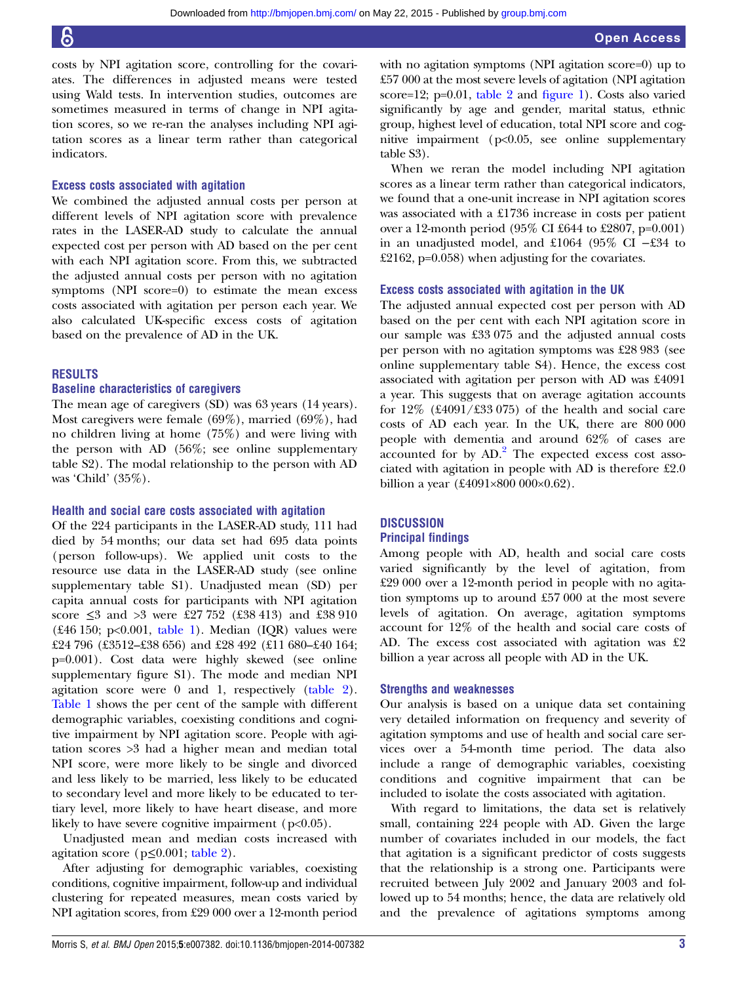costs by NPI agitation score, controlling for the covariates. The differences in adjusted means were tested using Wald tests. In intervention studies, outcomes are sometimes measured in terms of change in NPI agitation scores, so we re-ran the analyses including NPI agitation scores as a linear term rather than categorical indicators.

#### Excess costs associated with agitation

We combined the adjusted annual costs per person at different levels of NPI agitation score with prevalence rates in the LASER-AD study to calculate the annual expected cost per person with AD based on the per cent with each NPI agitation score. From this, we subtracted the adjusted annual costs per person with no agitation symptoms (NPI score=0) to estimate the mean excess costs associated with agitation per person each year. We also calculated UK-specific excess costs of agitation based on the prevalence of AD in the UK.

#### RESULTS

#### Baseline characteristics of caregivers

The mean age of caregivers (SD) was 63 years (14 years). Most caregivers were female (69%), married (69%), had no children living at home (75%) and were living with the person with AD (56%; see online [supplementary](http://bmjopen.bmj.com/lookup/suppl/doi:10.1136/bmjopen-2014-007382/-/DC1) [table](http://bmjopen.bmj.com/lookup/suppl/doi:10.1136/bmjopen-2014-007382/-/DC1) S2). The modal relationship to the person with AD was 'Child' (35%).

#### Health and social care costs associated with agitation

Of the 224 participants in the LASER-AD study, 111 had died by 54 months; our data set had 695 data points (person follow-ups). We applied unit costs to the resource use data in the LASER-AD study (see online [supplementary table](http://bmjopen.bmj.com/lookup/suppl/doi:10.1136/bmjopen-2014-007382/-/DC1) S1). Unadjusted mean (SD) per capita annual costs for participants with NPI agitation score ≤3 and >3 were £27 752 (£38 413) and £38 910 (£46 150; p<0.001,  $table$  1). Median (IQR) values were £24 796 (£3512–£38 656) and £28 492 (£11 680–£40 164; p=0.001). Cost data were highly skewed (see online [supplementary](http://bmjopen.bmj.com/lookup/suppl/doi:10.1136/bmjopen-2014-007382/-/DC1) figure S1). The mode and median NPI agitation score were 0 and 1, respectively ([table 2\)](#page-4-0). [Table 1](#page-3-0) shows the per cent of the sample with different demographic variables, coexisting conditions and cognitive impairment by NPI agitation score. People with agitation scores >3 had a higher mean and median total NPI score, were more likely to be single and divorced and less likely to be married, less likely to be educated to secondary level and more likely to be educated to tertiary level, more likely to have heart disease, and more likely to have severe cognitive impairment (p<0.05).

Unadjusted mean and median costs increased with agitation score ( $p \leq 0.001$ ; [table 2\)](#page-4-0).

After adjusting for demographic variables, coexisting conditions, cognitive impairment, follow-up and individual clustering for repeated measures, mean costs varied by NPI agitation scores, from £29 000 over a 12-month period with no agitation symptoms (NPI agitation score=0) up to £57 000 at the most severe levels of agitation (NPI agitation score=12; p=0.01, [table 2](#page-4-0) and fi[gure 1\)](#page-5-0). Costs also varied significantly by age and gender, marital status, ethnic group, highest level of education, total NPI score and cognitive impairment (p<0.05, see online [supplementary](http://bmjopen.bmj.com/lookup/suppl/doi:10.1136/bmjopen-2014-007382/-/DC1) [table](http://bmjopen.bmj.com/lookup/suppl/doi:10.1136/bmjopen-2014-007382/-/DC1) S3).

When we reran the model including NPI agitation scores as a linear term rather than categorical indicators, we found that a one-unit increase in NPI agitation scores was associated with a £1736 increase in costs per patient over a 12-month period (95% CI £644 to £2807, p=0.001) in an unadjusted model, and £1064 (95% CI −£34 to £2162, p=0.058) when adjusting for the covariates.

#### Excess costs associated with agitation in the UK

The adjusted annual expected cost per person with AD based on the per cent with each NPI agitation score in our sample was £33 075 and the adjusted annual costs per person with no agitation symptoms was £28 983 (see online [supplementary table](http://bmjopen.bmj.com/lookup/suppl/doi:10.1136/bmjopen-2014-007382/-/DC1) S4). Hence, the excess cost associated with agitation per person with AD was £4091 a year. This suggests that on average agitation accounts for  $12\%$  (£4091/£33 075) of the health and social care costs of AD each year. In the UK, there are 800 000 people with dementia and around 62% of cases are  $\frac{1}{2}$  $\frac{1}{2}$  $\frac{1}{2}$  accounted for by AD.<sup>2</sup> The expected excess cost associated with agitation in people with AD is therefore £2.0 billion a year (£4091×800 000×0.62).

#### **DISCUSSION**

#### Principal findings

Among people with AD, health and social care costs varied significantly by the level of agitation, from £29 000 over a 12-month period in people with no agitation symptoms up to around £57 000 at the most severe levels of agitation. On average, agitation symptoms account for 12% of the health and social care costs of AD. The excess cost associated with agitation was £2 billion a year across all people with AD in the UK.

#### Strengths and weaknesses

Our analysis is based on a unique data set containing very detailed information on frequency and severity of agitation symptoms and use of health and social care services over a 54-month time period. The data also include a range of demographic variables, coexisting conditions and cognitive impairment that can be included to isolate the costs associated with agitation.

With regard to limitations, the data set is relatively small, containing 224 people with AD. Given the large number of covariates included in our models, the fact that agitation is a significant predictor of costs suggests that the relationship is a strong one. Participants were recruited between July 2002 and January 2003 and followed up to 54 months; hence, the data are relatively old and the prevalence of agitations symptoms among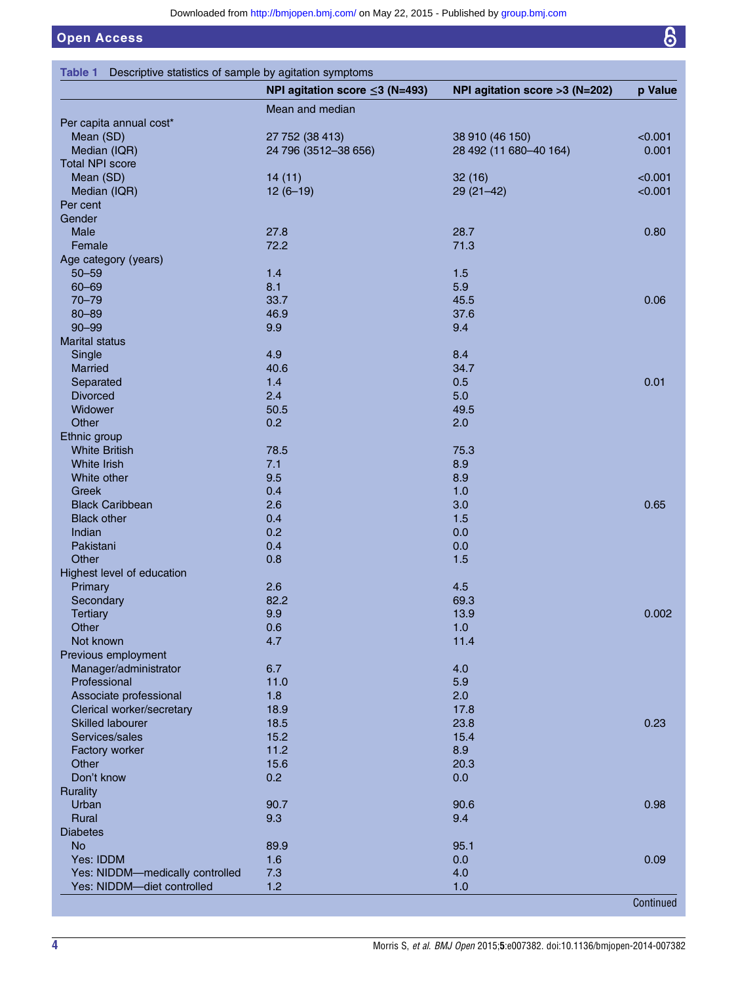$\overline{6}$ 

# <span id="page-3-0"></span>Open Access

|                                 | NPI agitation score $\leq$ 3 (N=493) | NPI agitation score >3 (N=202) | p Value   |
|---------------------------------|--------------------------------------|--------------------------------|-----------|
|                                 | Mean and median                      |                                |           |
| Per capita annual cost*         |                                      |                                |           |
| Mean (SD)                       | 27 752 (38 413)                      | 38 910 (46 150)                | < 0.001   |
| Median (IQR)                    | 24 796 (3512-38 656)                 | 28 492 (11 680-40 164)         | 0.001     |
| <b>Total NPI score</b>          |                                      |                                |           |
| Mean (SD)                       | 14(11)                               | 32(16)                         | < 0.001   |
| Median (IQR)                    | $12(6-19)$                           | $29(21-42)$                    | < 0.001   |
| Per cent                        |                                      |                                |           |
| Gender                          |                                      |                                |           |
| Male                            | 27.8                                 | 28.7                           | 0.80      |
| Female                          | 72.2                                 | 71.3                           |           |
| Age category (years)            |                                      |                                |           |
| $50 - 59$                       | $1.4$                                | 1.5                            |           |
| $60 - 69$                       | 8.1                                  | 5.9                            |           |
| $70 - 79$                       | 33.7                                 | 45.5                           | 0.06      |
| $80 - 89$                       | 46.9                                 | 37.6                           |           |
| $90 - 99$                       | 9.9                                  | 9.4                            |           |
| <b>Marital status</b>           |                                      |                                |           |
| Single                          | 4.9                                  | 8.4                            |           |
| Married                         | 40.6                                 | 34.7                           |           |
| Separated                       | 1.4                                  | 0.5                            | 0.01      |
| <b>Divorced</b>                 | 2.4                                  | 5.0                            |           |
| Widower                         | 50.5                                 | 49.5                           |           |
| Other                           | 0.2                                  | 2.0                            |           |
| Ethnic group                    |                                      |                                |           |
| <b>White British</b>            | 78.5                                 | 75.3                           |           |
| White Irish                     | 7.1                                  | 8.9                            |           |
| White other                     | 9.5                                  | 8.9                            |           |
| Greek                           | 0.4                                  | 1.0                            |           |
| <b>Black Caribbean</b>          | 2.6                                  | 3.0                            | 0.65      |
| <b>Black other</b>              | 0.4                                  | 1.5                            |           |
| Indian                          | 0.2                                  | 0.0                            |           |
| Pakistani                       | 0.4                                  | 0.0                            |           |
| Other                           | 0.8                                  | 1.5                            |           |
| Highest level of education      |                                      |                                |           |
| Primary                         | 2.6                                  | 4.5                            |           |
| Secondary                       | 82.2                                 | 69.3                           |           |
| <b>Tertiary</b>                 | 9.9                                  | 13.9                           | 0.002     |
| Other                           | 0.6                                  | 1.0                            |           |
| Not known                       | 4.7                                  | 11.4                           |           |
| Previous employment             |                                      |                                |           |
| Manager/administrator           | 6.7                                  | 4.0                            |           |
| Professional                    | 11.0                                 | 5.9                            |           |
| Associate professional          | 1.8                                  | 2.0                            |           |
| Clerical worker/secretary       | 18.9                                 | 17.8                           |           |
| <b>Skilled labourer</b>         | 18.5                                 | 23.8                           | 0.23      |
| Services/sales                  | 15.2                                 | 15.4                           |           |
| Factory worker                  | 11.2                                 | 8.9                            |           |
| Other                           | 15.6                                 | 20.3                           |           |
| Don't know                      | 0.2                                  | 0.0                            |           |
| <b>Rurality</b>                 |                                      |                                |           |
| Urban                           | 90.7                                 | 90.6                           | 0.98      |
| Rural                           | 9.3                                  | 9.4                            |           |
| <b>Diabetes</b>                 |                                      |                                |           |
| <b>No</b>                       | 89.9                                 | 95.1                           |           |
| Yes: IDDM                       | 1.6                                  | 0.0                            | 0.09      |
| Yes: NIDDM-medically controlled | 7.3                                  | 4.0                            |           |
| Yes: NIDDM-diet controlled      | 1.2                                  | 1.0                            |           |
|                                 |                                      |                                | Continued |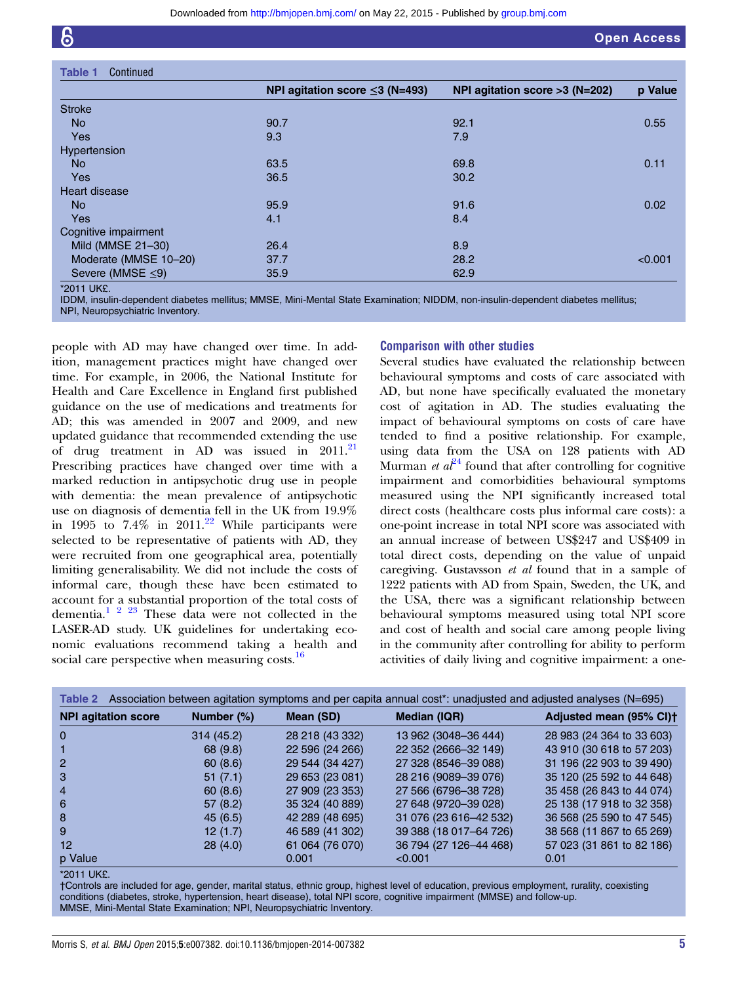<span id="page-4-0"></span>

| <b>Table 1</b><br>Continued |                                      |                                  |         |
|-----------------------------|--------------------------------------|----------------------------------|---------|
|                             | NPI agitation score $\leq$ 3 (N=493) | NPI agitation score $>3$ (N=202) | p Value |
| <b>Stroke</b>               |                                      |                                  |         |
| <b>No</b>                   | 90.7                                 | 92.1                             | 0.55    |
| <b>Yes</b>                  | 9.3                                  | 7.9                              |         |
| <b>Hypertension</b>         |                                      |                                  |         |
| <b>No</b>                   | 63.5                                 | 69.8                             | 0.11    |
| <b>Yes</b>                  | 36.5                                 | 30.2                             |         |
| <b>Heart disease</b>        |                                      |                                  |         |
| <b>No</b>                   | 95.9                                 | 91.6                             | 0.02    |
| <b>Yes</b>                  | 4.1                                  | 8.4                              |         |
| Cognitive impairment        |                                      |                                  |         |
| Mild (MMSE 21-30)           | 26.4                                 | 8.9                              |         |
| Moderate (MMSE 10-20)       | 37.7                                 | 28.2                             | < 0.001 |
| Severe (MMSE $\leq$ 9)      | 35.9                                 | 62.9                             |         |

<sup>\*2011</sup> UK£.

IDDM, insulin-dependent diabetes mellitus; MMSE, Mini-Mental State Examination; NIDDM, non-insulin-dependent diabetes mellitus; NPI, Neuropsychiatric Inventory.

people with AD may have changed over time. In addition, management practices might have changed over time. For example, in 2006, the National Institute for Health and Care Excellence in England first published guidance on the use of medications and treatments for AD; this was amended in 2007 and 2009, and new updated guidance that recommended extending the use of drug treatment in AD was issued in 2011.<sup>[21](#page-6-0)</sup> Prescribing practices have changed over time with a marked reduction in antipsychotic drug use in people with dementia: the mean prevalence of antipsychotic use on diagnosis of dementia fell in the UK from 19.9% in 1995 to  $7.4\%$  in 2011.<sup>[22](#page-6-0)</sup> While participants were selected to be representative of patients with AD, they were recruited from one geographical area, potentially limiting generalisability. We did not include the costs of informal care, though these have been estimated to account for a substantial proportion of the total costs of dementia. $1 \tbinom{2}{3} \tbinom{2}{3}$  These data were not collected in the LASER-AD study. UK guidelines for undertaking economic evaluations recommend taking a health and social care perspective when measuring costs.<sup>[16](#page-6-0)</sup>

#### Comparison with other studies

Several studies have evaluated the relationship between behavioural symptoms and costs of care associated with AD, but none have specifically evaluated the monetary cost of agitation in AD. The studies evaluating the impact of behavioural symptoms on costs of care have tended to find a positive relationship. For example, using data from the USA on 128 patients with AD Murman et  $a^{24}$  $a^{24}$  $a^{24}$  found that after controlling for cognitive impairment and comorbidities behavioural symptoms measured using the NPI significantly increased total direct costs (healthcare costs plus informal care costs): a one-point increase in total NPI score was associated with an annual increase of between US\$247 and US\$409 in total direct costs, depending on the value of unpaid caregiving. Gustavsson et al found that in a sample of 1222 patients with AD from Spain, Sweden, the UK, and the USA, there was a significant relationship between behavioural symptoms measured using total NPI score and cost of health and social care among people living in the community after controlling for ability to perform activities of daily living and cognitive impairment: a one-

| Association between agitation symptoms and per capita annual cost*: unadjusted and adjusted analyses (N=695)<br>Table 2 |            |                 |                          |                           |
|-------------------------------------------------------------------------------------------------------------------------|------------|-----------------|--------------------------|---------------------------|
| <b>NPI agitation score</b>                                                                                              | Number (%) | Mean (SD)       | <b>Median (IQR)</b>      | Adjusted mean (95% CI)t   |
|                                                                                                                         | 314(45.2)  | 28 218 (43 332) | 13 962 (3048-36 444)     | 28 983 (24 364 to 33 603) |
|                                                                                                                         | 68 (9.8)   | 22 596 (24 266) | 22 352 (2666-32 149)     | 43 910 (30 618 to 57 203) |
|                                                                                                                         | 60(8.6)    | 29 544 (34 427) | 27 328 (8546-39 088)     | 31 196 (22 903 to 39 490) |
|                                                                                                                         | 51(7.1)    | 29 653 (23 081) | 28 216 (9089-39 076)     | 35 120 (25 592 to 44 648) |
|                                                                                                                         | 60(8.6)    | 27 909 (23 353) | 27 566 (6796-38 728)     | 35 458 (26 843 to 44 074) |
| 6                                                                                                                       | 57(8.2)    | 35 324 (40 889) | 27 648 (9720-39 028)     | 25 138 (17 918 to 32 358) |
| 8                                                                                                                       | 45(6.5)    | 42 289 (48 695) | 31 076 (23 616-42 532)   | 36 568 (25 590 to 47 545) |
| 9                                                                                                                       | 12(1.7)    | 46 589 (41 302) | 39 388 (18 017-64 726)   | 38 568 (11 867 to 65 269) |
| 12                                                                                                                      | 28(4.0)    | 61 064 (76 070) | 36 794 (27 126 - 44 468) | 57 023 (31 861 to 82 186) |
| p Value                                                                                                                 |            | 0.001           | < 0.001                  | 0.01                      |

#### \*2011 UK£.

†Controls are included for age, gender, marital status, ethnic group, highest level of education, previous employment, rurality, coexisting conditions (diabetes, stroke, hypertension, heart disease), total NPI score, cognitive impairment (MMSE) and follow-up. MMSE, Mini-Mental State Examination; NPI, Neuropsychiatric Inventory.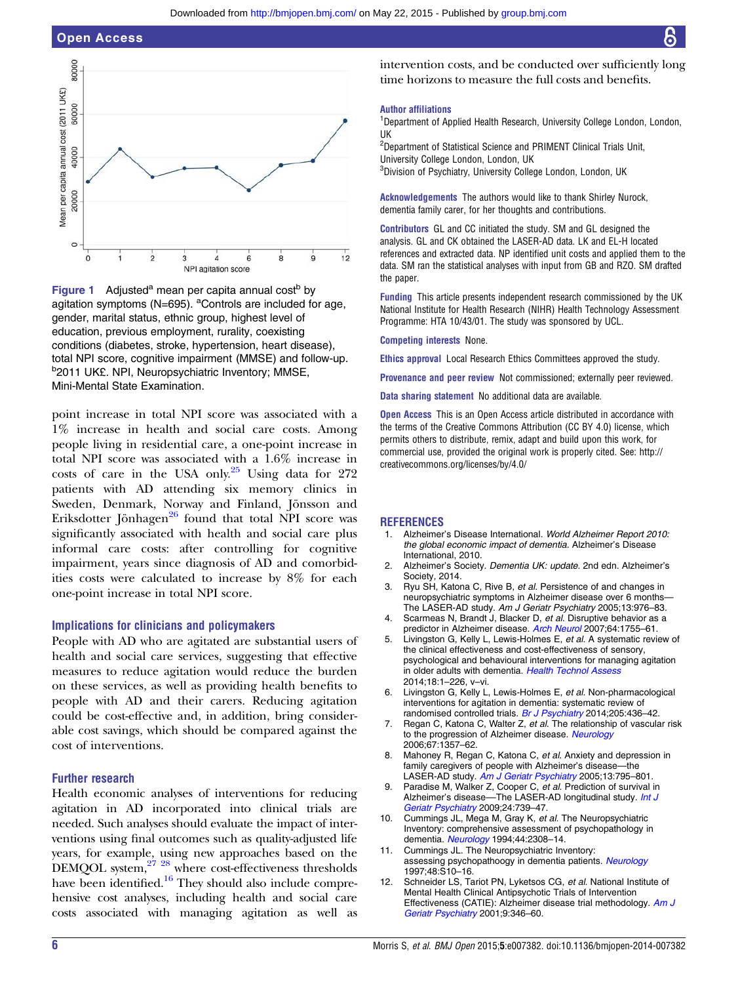<span id="page-5-0"></span>



point increase in total NPI score was associated with a 1% increase in health and social care costs. Among people living in residential care, a one-point increase in total NPI score was associated with a 1.6% increase in costs of care in the USA only. $^{25}$  Using data for 272 patients with AD attending six memory clinics in Sweden, Denmark, Norway and Finland, Jönsson and Eriksdotter Jönhagen $^{26}$  $^{26}$  $^{26}$  found that total NPI score was significantly associated with health and social care plus informal care costs: after controlling for cognitive impairment, years since diagnosis of AD and comorbidities costs were calculated to increase by 8% for each one-point increase in total NPI score.

#### Implications for clinicians and policymakers

People with AD who are agitated are substantial users of health and social care services, suggesting that effective measures to reduce agitation would reduce the burden on these services, as well as providing health benefits to people with AD and their carers. Reducing agitation could be cost-effective and, in addition, bring considerable cost savings, which should be compared against the cost of interventions.

#### Further research

Health economic analyses of interventions for reducing agitation in AD incorporated into clinical trials are needed. Such analyses should evaluate the impact of interventions using final outcomes such as quality-adjusted life years, for example, using new approaches based on the DEMQOL system, $27 \frac{28}{3}$  where cost-effectiveness thresholds have been identified.<sup>16</sup> They should also include comprehensive cost analyses, including health and social care costs associated with managing agitation as well as intervention costs, and be conducted over sufficiently long time horizons to measure the full costs and benefits.

#### Author affiliations

<sup>1</sup>Department of Applied Health Research, University College London, London, UK

<sup>2</sup>Department of Statistical Science and PRIMENT Clinical Trials Unit, University College London, London, UK <sup>3</sup>Division of Psychiatry, University College London, London, UK

Acknowledgements The authors would like to thank Shirley Nurock, dementia family carer, for her thoughts and contributions.

Contributors GL and CC initiated the study. SM and GL designed the analysis. GL and CK obtained the LASER-AD data. LK and EL-H located references and extracted data. NP identified unit costs and applied them to the data. SM ran the statistical analyses with input from GB and RZO. SM drafted the paper.

Funding This article presents independent research commissioned by the UK National Institute for Health Research (NIHR) Health Technology Assessment Programme: HTA 10/43/01. The study was sponsored by UCL.

#### Competing interests None.

Ethics approval Local Research Ethics Committees approved the study.

Provenance and peer review Not commissioned; externally peer reviewed.

Data sharing statement No additional data are available.

**Open Access** This is an Open Access article distributed in accordance with the terms of the Creative Commons Attribution (CC BY 4.0) license, which permits others to distribute, remix, adapt and build upon this work, for commercial use, provided the original work is properly cited. See: [http://](http://creativecommons.org/licenses/by/4.0/) [creativecommons.org/licenses/by/4.0/](http://creativecommons.org/licenses/by/4.0/)

#### **REFERENCES**

- 1. Alzheimer's Disease International. World Alzheimer Report 2010: the global economic impact of dementia. Alzheimer's Disease International, 2010.
- 2. Alzheimer's Society. Dementia UK: update. 2nd edn. Alzheimer's Society, 2014.
- 3. Ryu SH, Katona C, Rive B, et al. Persistence of and changes in neuropsychiatric symptoms in Alzheimer disease over 6 months— The LASER-AD study. Am J Geriatr Psychiatry 2005;13:976-83.
- 4. Scarmeas N, Brandt J, Blacker D, et al. Disruptive behavior as a predictor in Alzheimer disease. [Arch Neurol](http://dx.doi.org/10.1001/archneur.64.12.1755) 2007;64:1755-61.
- Livingston G, Kelly L, Lewis-Holmes E, et al. A systematic review of the clinical effectiveness and cost-effectiveness of sensory, psychological and behavioural interventions for managing agitation in older adults with dementia. [Health Technol Assess](http://dx.doi.org/10.3310/hta18390) 2014;18:1–226, v–vi.
- Livingston G, Kelly L, Lewis-Holmes E, et al. Non-pharmacological interventions for agitation in dementia: systematic review of randomised controlled trials. [Br J Psychiatry](http://dx.doi.org/10.1192/bjp.bp.113.141119) 2014;205:436-42.
- 7. Regan C, Katona C, Walter Z, et al. The relationship of vascular risk to the progression of Alzheimer disease. [Neurology](http://dx.doi.org/10.1212/01.wnl.0000240129.46080.53) 2006;67:1357–62.
- 8. Mahoney R, Regan C, Katona C, et al. Anxiety and depression in family caregivers of people with Alzheimer's disease—the LASER-AD study. [Am J Geriatr Psychiatry](http://dx.doi.org/10.1097/00019442-200509000-00008) 2005;13:795-801.
- 9. Paradise M, Walker Z, Cooper C, et al. Prediction of survival in Alzheimer's disease-The LASER-AD longitudinal study. [Int J](http://dx.doi.org/10.1002/gps.2190) [Geriatr Psychiatry](http://dx.doi.org/10.1002/gps.2190) 2009;24:739–47.
- 10. Cummings JL, Mega M, Gray K, et al. The Neuropsychiatric Inventory: comprehensive assessment of psychopathology in dementia. [Neurology](http://dx.doi.org/10.1212/WNL.44.12.2308) 1994;44:2308–14.
- 11. Cummings JL. The Neuropsychiatric Inventory: assessing psychopathoogy in dementia patients. [Neurology](http://dx.doi.org/10.1212/WNL.48.5_Suppl_6.10S) 1997;48:S10–16.
- 12. Schneider LS, Tariot PN, Lyketsos CG, et al. National Institute of Mental Health Clinical Antipsychotic Trials of Intervention Effectiveness (CATIE): Alzheimer disease trial methodology. [Am J](http://dx.doi.org/10.1097/00019442-200111000-00004) [Geriatr Psychiatry](http://dx.doi.org/10.1097/00019442-200111000-00004) 2001;9:346–60.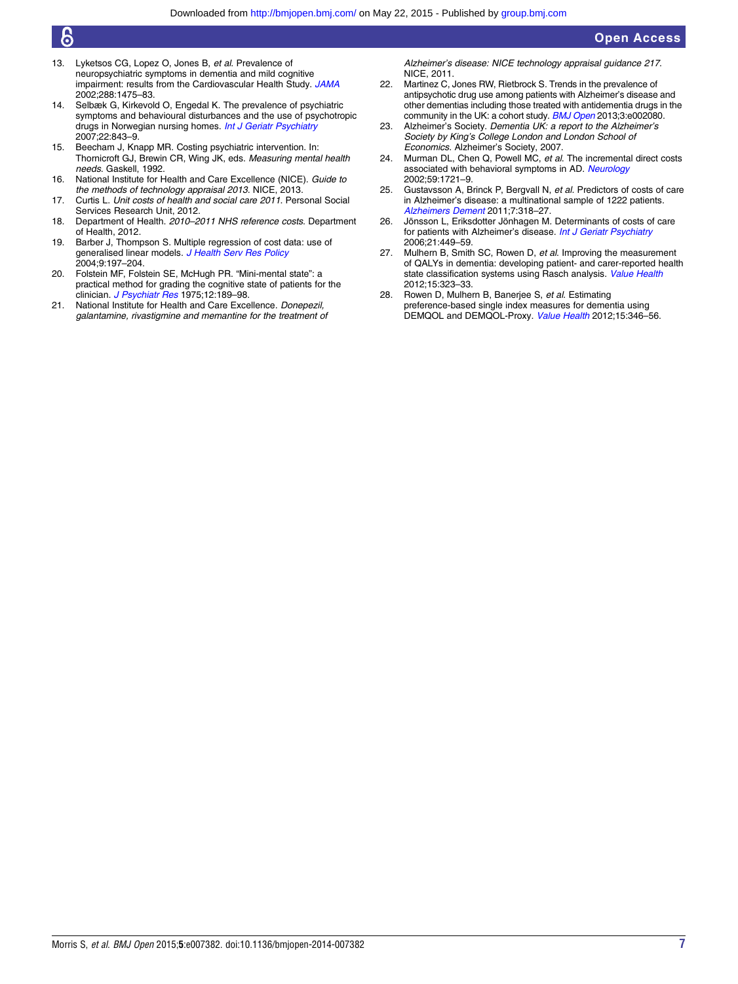- <span id="page-6-0"></span>13. Lyketsos CG, Lopez O, Jones B, et al. Prevalence of neuropsychiatric symptoms in dementia and mild cognitive impairment: results from the Cardiovascular Health Study. [JAMA](http://dx.doi.org/10.1001/jama.288.12.1475) 2002;288:1475–83.
- 14. Selbæk G, Kirkevold O, Engedal K. The prevalence of psychiatric symptoms and behavioural disturbances and the use of psychotropic drugs in Norwegian nursing homes. [Int J Geriatr Psychiatry](http://dx.doi.org/10.1002/gps.1749) 2007;22:843–9.
- 15. Beecham J, Knapp MR. Costing psychiatric intervention. In: Thornicroft GJ, Brewin CR, Wing JK, eds. Measuring mental health needs. Gaskell, 1992.
- 16. National Institute for Health and Care Excellence (NICE). Guide to the methods of technology appraisal 2013. NICE, 2013.
- 17. Curtis L. Unit costs of health and social care 2011. Personal Social Services Research Unit, 2012.
- 18. Department of Health. 2010–2011 NHS reference costs. Department of Health, 2012.
- 19. Barber J, Thompson S. Multiple regression of cost data: use of generalised linear models. [J Health Serv Res Policy](http://dx.doi.org/10.1258/1355819042250249) 2004;9:197–204.
- 20. Folstein MF, Folstein SE, McHugh PR. "Mini-mental state": a practical method for grading the cognitive state of patients for the clinician. [J Psychiatr Res](http://dx.doi.org/10.1016/0022-3956(75)90026-6) 1975;12:189-98.
- 21. National Institute for Health and Care Excellence. Donepezil. galantamine, rivastigmine and memantine for the treatment of

Alzheimer's disease: NICE technology appraisal guidance 217. NICE, 2011.

- 22. Martinez C, Jones RW, Rietbrock S. Trends in the prevalence of antipsychotic drug use among patients with Alzheimer's disease and other dementias including those treated with antidementia drugs in the community in the UK: a cohort study. [BMJ Open](http://dx.doi.org/10.1136/bmjopen-2012-002080) 2013;3:e002080.
- 23. Alzheimer's Society. Dementia UK: a report to the Alzheimer's Society by King's College London and London School of Economics. Alzheimer's Society, 2007.
- 24. Murman DL, Chen Q, Powell MC, et al. The incremental direct costs associated with behavioral symptoms in AD. [Neurology](http://dx.doi.org/10.1212/01.WNL.0000036904.73393.E4) 2002;59:1721–9.
- 25. Gustavsson A, Brinck P, Bergvall N, et al. Predictors of costs of care in Alzheimer's disease: a multinational sample of 1222 patients. [Alzheimers Dement](http://dx.doi.org/10.1016/j.jalz.2010.09.001) 2011;7:318–27.
- 26. Jönsson L, Eriksdotter Jönhagen M. Determinants of costs of care for patients with Alzheimer's disease. [Int J Geriatr Psychiatry](http://dx.doi.org/10.1002/gps.1489) 2006;21:449–59.
- 27. Mulhern B, Smith SC, Rowen D, et al. Improving the measurement of QALYs in dementia: developing patient- and carer-reported health state classification systems using Rasch analysis. [Value Health](http://dx.doi.org/10.1016/j.jval.2011.09.006) 2012;15:323–33.
- 28. Rowen D, Mulhern B, Banerjee S, et al. Estimating preference-based single index measures for dementia using DEMQOL and DEMQOL-Proxy. [Value Health](http://dx.doi.org/10.1016/j.jval.2011.10.016) 2012;15:346–56.